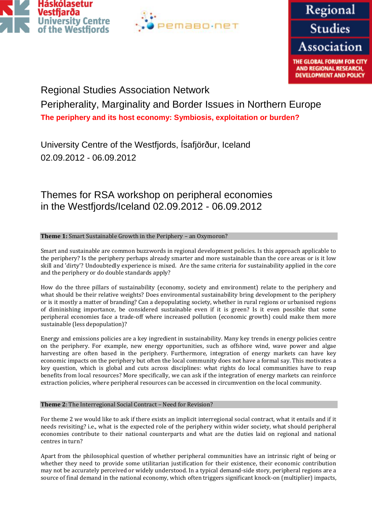





# Regional Studies Association Network Peripherality, Marginality and Border Issues in Northern Europe **The periphery and its host economy: Symbiosis, exploitation or burden?**

University Centre of the Westfjords, Ísafjörður, Iceland 02.09.2012 - 06.09.2012

## Themes for RSA workshop on peripheral economies in the Westfjords/Iceland 02.09.2012 - 06.09.2012

### **Theme 1:** Smart Sustainable Growth in the Periphery – an Oxymoron?

Smart and sustainable are common buzzwords in regional development policies. Is this approach applicable to the periphery? Is the periphery perhaps already smarter and more sustainable than the core areas or is it low skill and 'dirty'? Undoubtedly experience is mixed. Are the same criteria for sustainability applied in the core and the periphery or do double standards apply?

How do the three pillars of sustainability (economy, society and environment) relate to the periphery and what should be their relative weights? Does environmental sustainability bring development to the periphery or is it mostly a matter of branding? Can a depopulating society, whether in rural regions or urbanised regions of diminishing importance, be considered sustainable even if it is green? Is it even possible that some peripheral economies face a trade-off where increased pollution (economic growth) could make them more sustainable (less depopulation)?

Energy and emissions policies are a key ingredient in sustainability. Many key trends in energy policies centre on the periphery. For example, new energy opportunities, such as offshore wind, wave power and algae harvesting are often based in the periphery. Furthermore, integration of energy markets can have key economic impacts on the periphery but often the local community does not have a formal say. This motivates a key question, which is global and cuts across disciplines: what rights do local communities have to reap benefits from local resources? More specifically, we can ask if the integration of energy markets can reinforce extraction policies, where peripheral resources can be accessed in circumvention on the local community.

### **Theme 2**: The Interregional Social Contract – Need for Revision?

For theme 2 we would like to ask if there exists an implicit interregional social contract, what it entails and if it needs revisiting? i.e., what is the expected role of the periphery within wider society, what should peripheral economies contribute to their national counterparts and what are the duties laid on regional and national centres in turn?

Apart from the philosophical question of whether peripheral communities have an intrinsic right of being or whether they need to provide some utilitarian justification for their existence, their economic contribution may not be accurately perceived or widely understood. In a typical demand-side story, peripheral regions are a source of final demand in the national economy, which often triggers significant knock-on (multiplier) impacts,